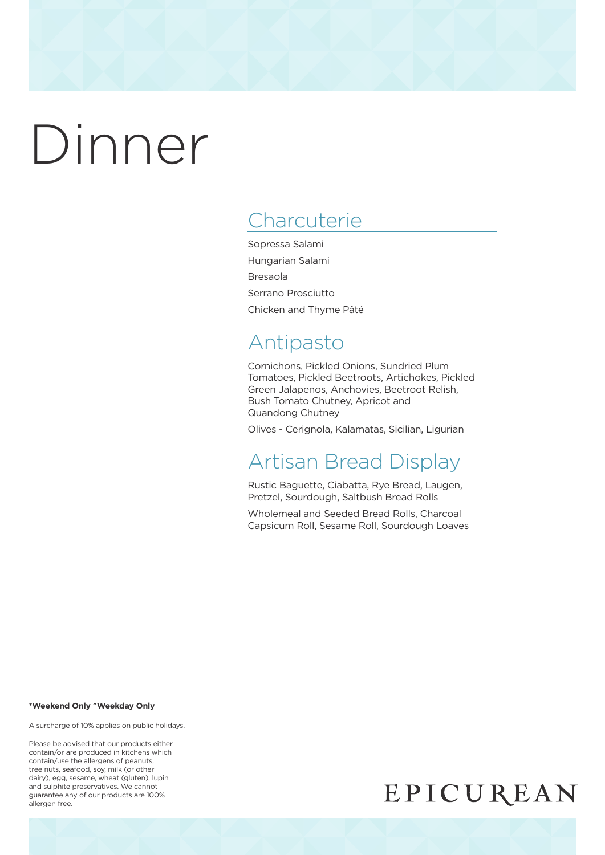## **Charcuterie**

Sopressa Salami Hungarian Salami Bresaola Serrano Prosciutto Chicken and Thyme Pâté

## Antipasto

Cornichons, Pickled Onions, Sundried Plum Tomatoes, Pickled Beetroots, Artichokes, Pickled Green Jalapenos, Anchovies, Beetroot Relish, Bush Tomato Chutney, Apricot and Quandong Chutney

Olives - Cerignola, Kalamatas, Sicilian, Ligurian

## Artisan Bread Display

Rustic Baguette, Ciabatta, Rye Bread, Laugen, Pretzel, Sourdough, Saltbush Bread Rolls

Wholemeal and Seeded Bread Rolls, Charcoal Capsicum Roll, Sesame Roll, Sourdough Loaves

#### **\*Weekend Only ^Weekday Only**

A surcharge of 10% applies on public holidays.

Please be advised that our products either contain/or are produced in kitchens which contain/use the allergens of peanuts, tree nuts, seafood, soy, milk (or other dairy), egg, sesame, wheat (gluten), lupin and sulphite preservatives. We cannot guarantee any of our products are 100% allergen free.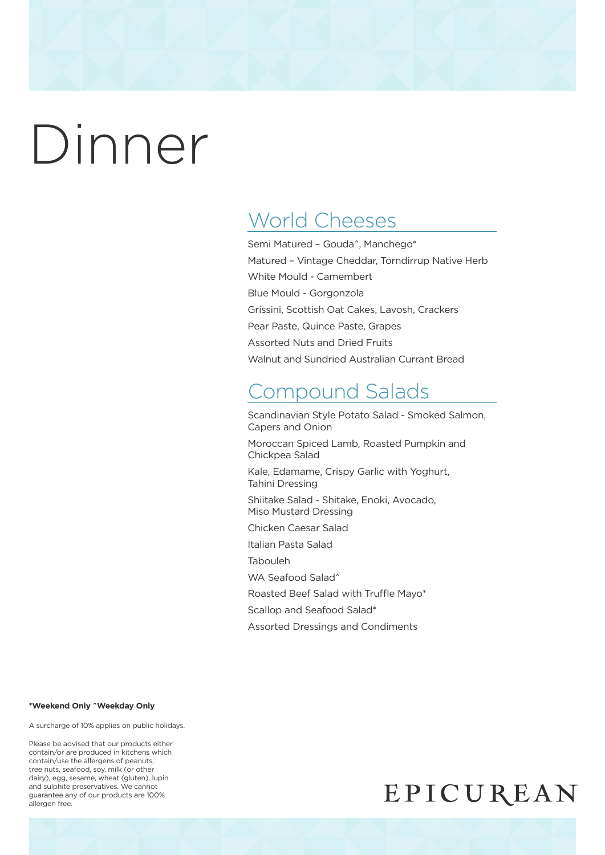## World Cheeses

Semi Matured – Gouda^, Manchego\* Matured – Vintage Cheddar, Torndirrup Native Herb White Mould - Camembert Blue Mould - Gorgonzola Grissini, Scottish Oat Cakes, Lavosh, Crackers Pear Paste, Quince Paste, Grapes Assorted Nuts and Dried Fruits Walnut and Sundried Australian Currant Bread

## Compound Salads

Scandinavian Style Potato Salad - Smoked Salmon, Capers and Onion

Moroccan Spiced Lamb, Roasted Pumpkin and Chickpea Salad

Kale, Edamame, Crispy Garlic with Yoghurt, Tahini Dressing

Shiitake Salad - Shitake, Enoki, Avocado, Miso Mustard Dressing

Chicken Caesar Salad

Italian Pasta Salad

Tabouleh

WA Seafood Salad^

Roasted Beef Salad with Truffle Mayo\*

Scallop and Seafood Salad\*

Assorted Dressings and Condiments

#### **\*Weekend Only ^Weekday Only**

A surcharge of 10% applies on public holidays.

Please be advised that our products either contain/or are produced in kitchens which contain/use the allergens of peanuts, tree nuts, seafood, soy, milk (or other dairy), egg, sesame, wheat (gluten), lupin and sulphite preservatives. We cannot guarantee any of our products are 100% allergen free.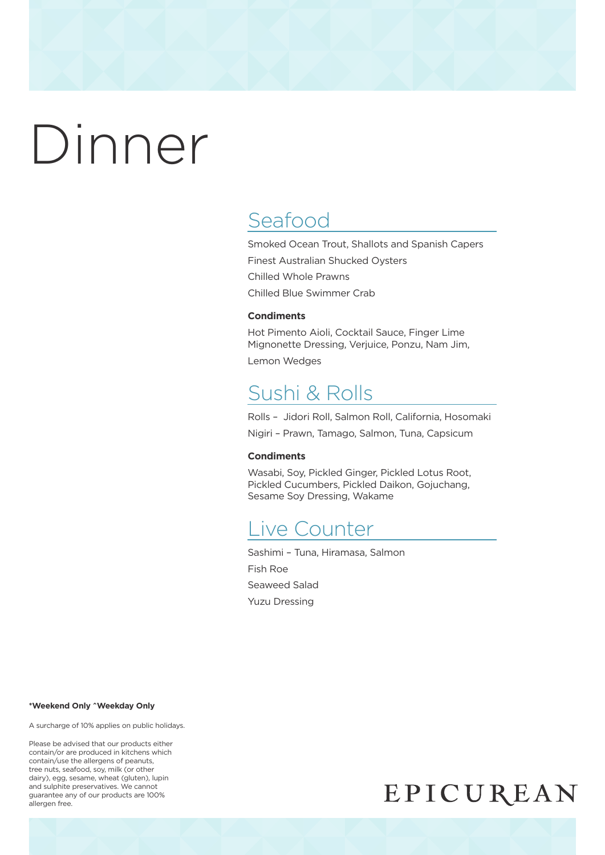## Seafood

Smoked Ocean Trout, Shallots and Spanish Capers Finest Australian Shucked Oysters Chilled Whole Prawns Chilled Blue Swimmer Crab

#### **Condiments**

Hot Pimento Aioli, Cocktail Sauce, Finger Lime Mignonette Dressing, Verjuice, Ponzu, Nam Jim,

Lemon Wedges

### Sushi & Rolls

Rolls – Jidori Roll, Salmon Roll, California, Hosomaki

Nigiri – Prawn, Tamago, Salmon, Tuna, Capsicum

#### **Condiments**

Wasabi, Soy, Pickled Ginger, Pickled Lotus Root, Pickled Cucumbers, Pickled Daikon, Gojuchang, Sesame Soy Dressing, Wakame

### Live Counter

Sashimi – Tuna, Hiramasa, Salmon Fish Roe Seaweed Salad Yuzu Dressing

#### **\*Weekend Only ^Weekday Only**

A surcharge of 10% applies on public holidays.

Please be advised that our products either contain/or are produced in kitchens which contain/use the allergens of peanuts, tree nuts, seafood, soy, milk (or other dairy), egg, sesame, wheat (gluten), lupin and sulphite preservatives. We cannot guarantee any of our products are 100% allergen free.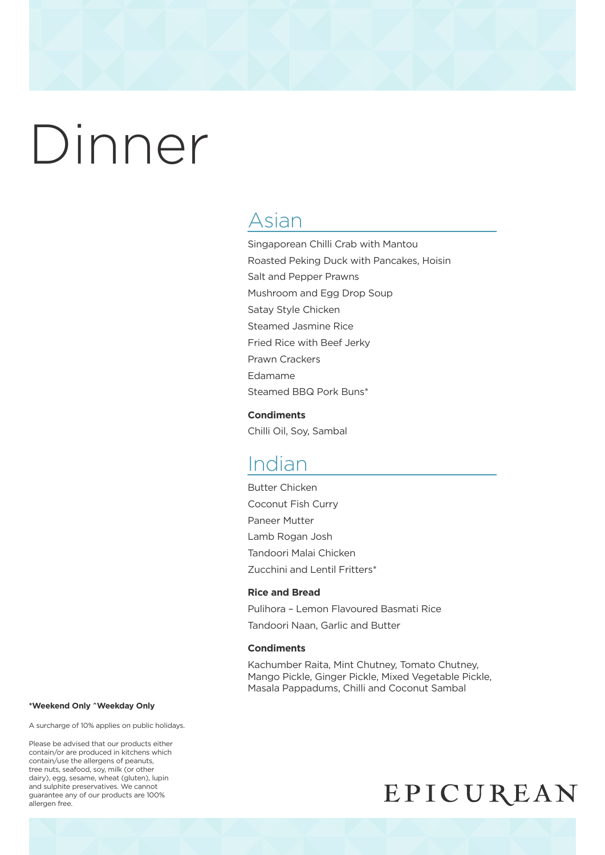### Asian

Singaporean Chilli Crab with Mantou Roasted Peking Duck with Pancakes, Hoisin Salt and Pepper Prawns Mushroom and Egg Drop Soup Satay Style Chicken Steamed Jasmine Rice Fried Rice with Beef Jerky Prawn Crackers Edamame Steamed BBQ Pork Buns\*

#### **Condiments**

Chilli Oil, Soy, Sambal

### Indian

Butter Chicken Coconut Fish Curry Paneer Mutter Lamb Rogan Josh Tandoori Malai Chicken Zucchini and Lentil Fritters\*

#### **Rice and Bread**

Pulihora – Lemon Flavoured Basmati Rice Tandoori Naan, Garlic and Butter

#### **Condiments**

Kachumber Raita, Mint Chutney, Tomato Chutney, Mango Pickle, Ginger Pickle, Mixed Vegetable Pickle, Masala Pappadums, Chilli and Coconut Sambal

#### **\*Weekend Only ^Weekday Only**

A surcharge of 10% applies on public holidays.

Please be advised that our products either contain/or are produced in kitchens which contain/use the allergens of peanuts, tree nuts, seafood, soy, milk (or other dairy), egg, sesame, wheat (gluten), lupin and sulphite preservatives. We cannot guarantee any of our products are 100% allergen free.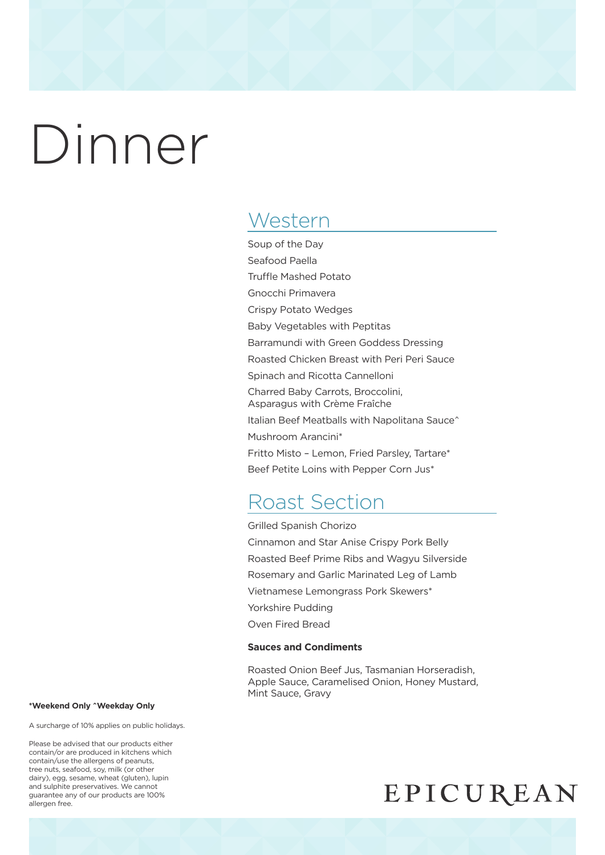## **Western**

Soup of the Day Seafood Paella Truffle Mashed Potato Gnocchi Primavera Crispy Potato Wedges Baby Vegetables with Peptitas Barramundi with Green Goddess Dressing Roasted Chicken Breast with Peri Peri Sauce Spinach and Ricotta Cannelloni Charred Baby Carrots, Broccolini, Asparagus with Crème Fraîche Italian Beef Meatballs with Napolitana Sauce^ Mushroom Arancini\* Fritto Misto – Lemon, Fried Parsley, Tartare\* Beef Petite Loins with Pepper Corn Jus\*

## Roast Section

Grilled Spanish Chorizo Cinnamon and Star Anise Crispy Pork Belly Roasted Beef Prime Ribs and Wagyu Silverside Rosemary and Garlic Marinated Leg of Lamb Vietnamese Lemongrass Pork Skewers\* Yorkshire Pudding Oven Fired Bread

#### **Sauces and Condiments**

Roasted Onion Beef Jus, Tasmanian Horseradish, Apple Sauce, Caramelised Onion, Honey Mustard, Mint Sauce, Gravy

#### **\*Weekend Only ^Weekday Only**

A surcharge of 10% applies on public holidays.

Please be advised that our products either contain/or are produced in kitchens which contain/use the allergens of peanuts, tree nuts, seafood, soy, milk (or other dairy), egg, sesame, wheat (gluten), lupin and sulphite preservatives. We cannot guarantee any of our products are 100% allergen free.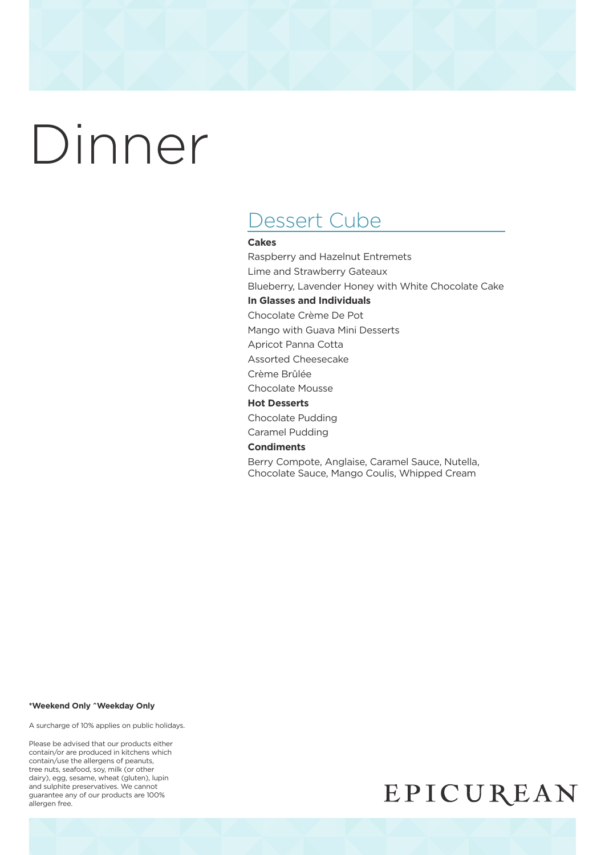## Dessert Cube

#### **Cakes**

Raspberry and Hazelnut Entremets Lime and Strawberry Gateaux Blueberry, Lavender Honey with White Chocolate Cake **In Glasses and Individuals** Chocolate Crème De Pot Mango with Guava Mini Desserts Apricot Panna Cotta Assorted Cheesecake

Crème Brûlée

Chocolate Mousse

#### **Hot Desserts**

Chocolate Pudding

Caramel Pudding

#### **Condiments**

Berry Compote, Anglaise, Caramel Sauce, Nutella, Chocolate Sauce, Mango Coulis, Whipped Cream

#### **\*Weekend Only ^Weekday Only**

A surcharge of 10% applies on public holidays.

Please be advised that our products either contain/or are produced in kitchens which contain/use the allergens of peanuts, tree nuts, seafood, soy, milk (or other dairy), egg, sesame, wheat (gluten), lupin and sulphite preservatives. We cannot guarantee any of our products are 100% allergen free.